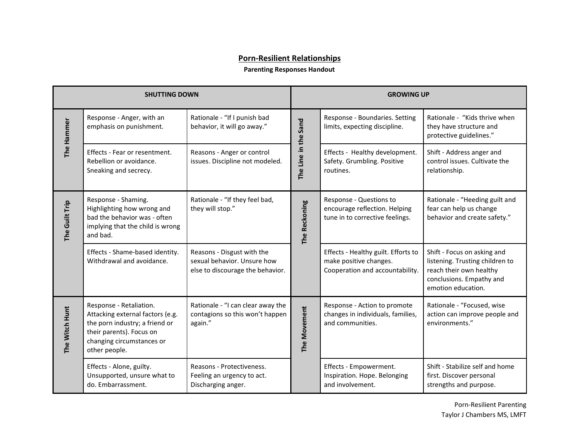## **Porn-Resilient Relationships**

## **Parenting Responses Handout**

| <b>SHUTTING DOWN</b> |                                                                                                                                                                         |                                                                                               | <b>GROWING UP</b>    |                                                                                                  |                                                                                                                                             |
|----------------------|-------------------------------------------------------------------------------------------------------------------------------------------------------------------------|-----------------------------------------------------------------------------------------------|----------------------|--------------------------------------------------------------------------------------------------|---------------------------------------------------------------------------------------------------------------------------------------------|
| The Hammer           | Response - Anger, with an<br>emphasis on punishment.                                                                                                                    | Rationale - "If I punish bad<br>behavior, it will go away."                                   | The Line in the Sand | Response - Boundaries. Setting<br>limits, expecting discipline.                                  | Rationale - "Kids thrive when<br>they have structure and<br>protective guidelines."                                                         |
|                      | Effects - Fear or resentment.<br>Rebellion or avoidance.<br>Sneaking and secrecy.                                                                                       | Reasons - Anger or control<br>issues. Discipline not modeled.                                 |                      | Effects - Healthy development.<br>Safety. Grumbling. Positive<br>routines.                       | Shift - Address anger and<br>control issues. Cultivate the<br>relationship.                                                                 |
| The Guilt Trip       | Response - Shaming.<br>Highlighting how wrong and<br>bad the behavior was - often<br>implying that the child is wrong<br>and bad.                                       | Rationale - "If they feel bad,<br>they will stop."                                            | The Reckoning        | Response - Questions to<br>encourage reflection. Helping<br>tune in to corrective feelings.      | Rationale - "Heeding guilt and<br>fear can help us change<br>behavior and create safety."                                                   |
|                      | Effects - Shame-based identity.<br>Withdrawal and avoidance.                                                                                                            | Reasons - Disgust with the<br>sexual behavior. Unsure how<br>else to discourage the behavior. |                      | Effects - Healthy guilt. Efforts to<br>make positive changes.<br>Cooperation and accountability. | Shift - Focus on asking and<br>listening. Trusting children to<br>reach their own healthy<br>conclusions. Empathy and<br>emotion education. |
| The Witch Hunt       | Response - Retaliation.<br>Attacking external factors (e.g.<br>the porn industry; a friend or<br>their parents). Focus on<br>changing circumstances or<br>other people. | Rationale - "I can clear away the<br>contagions so this won't happen<br>again."               | The Movement         | Response - Action to promote<br>changes in individuals, families,<br>and communities.            | Rationale - "Focused, wise<br>action can improve people and<br>environments."                                                               |
|                      | Effects - Alone, guilty.<br>Unsupported, unsure what to<br>do. Embarrassment.                                                                                           | Reasons - Protectiveness.<br>Feeling an urgency to act.<br>Discharging anger.                 |                      | Effects - Empowerment.<br>Inspiration. Hope. Belonging<br>and involvement.                       | Shift - Stabilize self and home<br>first. Discover personal<br>strengths and purpose.                                                       |